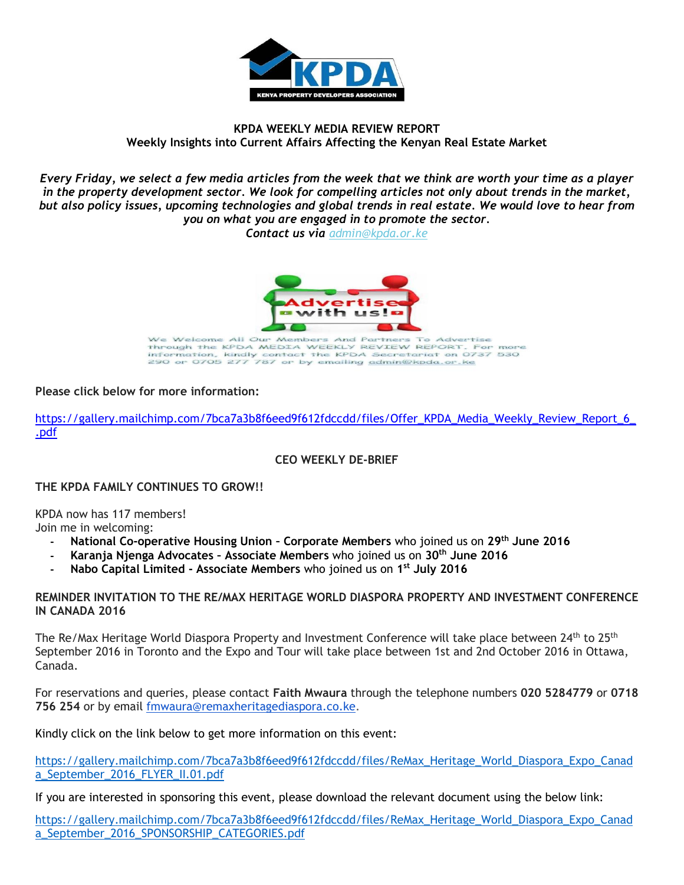

## **KPDA WEEKLY MEDIA REVIEW REPORT Weekly Insights into Current Affairs Affecting the Kenyan Real Estate Market**

*Every Friday, we select a few media articles from the week that we think are worth your time as a player in the property development sector. We look for compelling articles not only about trends in the market, but also policy issues, upcoming technologies and global trends in real estate. We would love to hear from you on what you are engaged in to promote the sector.*

*Contact us via [admin@kpda.or](mailto:admin@kpda.or.ke).ke*



We Welcome All Our Members And Partners To Advertise<br>Through the KPDA MEDIA WEEKLY REVIEW REPORT. For more<br>information, kindly contact the KPDA Secretariat on 0737 530<br>290 or 0705 277 787 or by emailing admin@kpda.or.ke

**Please click below for more information:** 

[https://gallery.mailchimp.com/7bca7a3b8f6eed9f612fdccdd/files/Offer\\_KPDA\\_Media\\_Weekly\\_Review\\_Report\\_6\\_](https://gallery.mailchimp.com/7bca7a3b8f6eed9f612fdccdd/files/Offer_KPDA_Media_Weekly_Review_Report_6_.pdf) [.pdf](https://gallery.mailchimp.com/7bca7a3b8f6eed9f612fdccdd/files/Offer_KPDA_Media_Weekly_Review_Report_6_.pdf)

**CEO WEEKLY DE-BRIEF**

**THE KPDA FAMILY CONTINUES TO GROW!!**

KPDA now has 117 members!

Join me in welcoming:

- **- National Co-operative Housing Union – Corporate Members** who joined us on **29th June 2016**
- **- Karanja Njenga Advocates – Associate Members** who joined us on **30 th June 2016**
- **- Nabo Capital Limited - Associate Members** who joined us on **1 st July 2016**

#### **REMINDER INVITATION TO THE RE/MAX HERITAGE WORLD DIASPORA PROPERTY AND INVESTMENT CONFERENCE IN CANADA 2016**

The Re/Max Heritage World Diaspora Property and Investment Conference will take place between 24<sup>th</sup> to 25<sup>th</sup> September 2016 in Toronto and the Expo and Tour will take place between 1st and 2nd October 2016 in Ottawa, Canada.

For reservations and queries, please contact **Faith Mwaura** through the telephone numbers **020 5284779** or **0718 756 254** or by email [fmwaura@remaxheritagediaspora.co.ke.](mailto:fmwaura@remaxheritagediaspora.co.ke)

Kindly click on the link below to get more information on this event:

[https://gallery.mailchimp.com/7bca7a3b8f6eed9f612fdccdd/files/ReMax\\_Heritage\\_World\\_Diaspora\\_Expo\\_Canad](https://gallery.mailchimp.com/7bca7a3b8f6eed9f612fdccdd/files/ReMax_Heritage_World_Diaspora_Expo_Canada_September_2016_FLYER_II.01.pdf) [a\\_September\\_2016\\_FLYER\\_II.01.pdf](https://gallery.mailchimp.com/7bca7a3b8f6eed9f612fdccdd/files/ReMax_Heritage_World_Diaspora_Expo_Canada_September_2016_FLYER_II.01.pdf)

If you are interested in sponsoring this event, please download the relevant document using the below link:

[https://gallery.mailchimp.com/7bca7a3b8f6eed9f612fdccdd/files/ReMax\\_Heritage\\_World\\_Diaspora\\_Expo\\_Canad](https://gallery.mailchimp.com/7bca7a3b8f6eed9f612fdccdd/files/ReMax_Heritage_World_Diaspora_Expo_Canada_September_2016_SPONSORSHIP_CATEGORIES.pdf) a September 2016 SPONSORSHIP CATEGORIES.pdf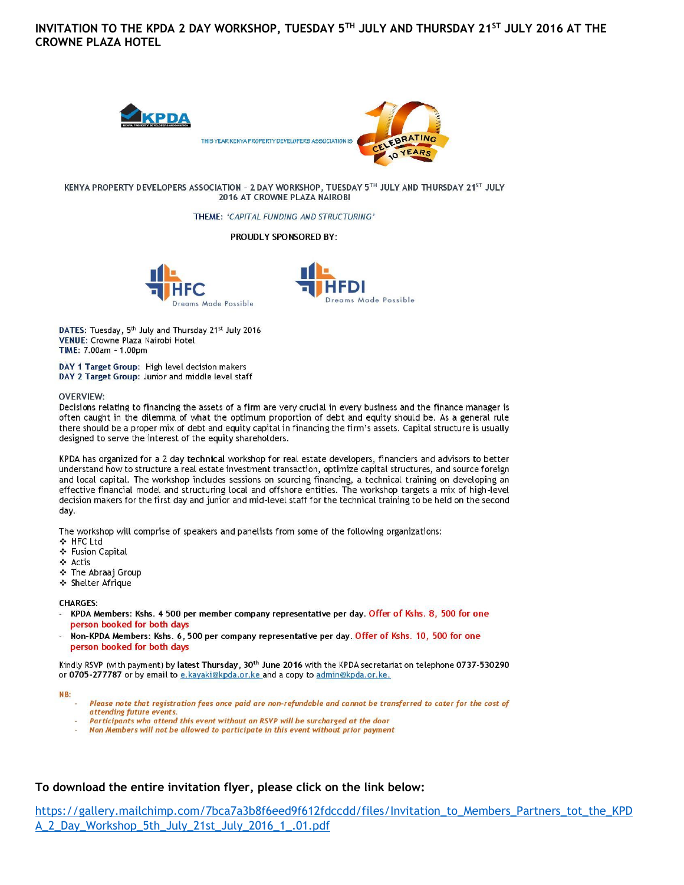INVITATION TO THE KPDA 2 DAY WORKSHOP, TUESDAY 5TH JULY AND THURSDAY 21ST JULY 2016 AT THE **CROWNE PLAZA HOTEL** 



KENYA PROPERTY DEVELOPERS ASSOCIATION - 2 DAY WORKSHOP, TUESDAY 5TH JULY AND THURSDAY 21ST JULY 2016 AT CROWNE PLAZA NAIROBI

THEME: 'CAPITAL FUNDING AND STRUCTURING'

#### **PROUDLY SPONSORED BY:**





DATES: Tuesday, 5th July and Thursday 21st July 2016 **VENUE: Crowne Plaza Nairobi Hotel** TIME: 7.00am - 1.00pm

DAY 1 Target Group: High level decision makers DAY 2 Target Group: Junior and middle level staff

#### **OVERVIEW:**

Decisions relating to financing the assets of a firm are very crucial in every business and the finance manager is often caught in the dilemma of what the optimum proportion of debt and equity should be. As a general rule there should be a proper mix of debt and equity capital in financing the firm's assets. Capital structure is usually designed to serve the interest of the equity shareholders.

KPDA has organized for a 2 day technical workshop for real estate developers, financiers and advisors to better understand how to structure a real estate investment transaction, optimize capital structures, and source foreign and local capital. The workshop includes sessions on sourcing financing, a technical training on developing an effective financial model and structuring local and offshore entities. The workshop targets a mix of high-level decision makers for the first day and junior and mid-level staff for the technical training to be held on the second day.

The workshop will comprise of speakers and panelists from some of the following organizations:

- ❖ HFC Ltd
- ❖ Fusion Capital
- ❖ Actis
- \* The Abraaj Group
- ❖ Shelter Afrique

#### **CHARGES:**

- KPDA Members: Kshs. 4 500 per member company representative per day. Offer of Kshs. 8, 500 for one person booked for both days
- Non-KPDA Members: Kshs. 6, 500 per company representative per day. Offer of Kshs. 10, 500 for one person booked for both days

Kindly RSVP (with payment) by latest Thursday, 30<sup>th</sup> June 2016 with the KPDA secretariat on telephone 0737-530290 or 0705-277787 or by email to e.kayaki@kpda.or.ke and a copy to admin@kpda.or.ke.

#### NB:

- Please note that registration fees once paid are non-refundable and cannot be transferred to cater for the cost of attending future events.
- Participants who attend this event without an RSVP will be surcharged at the door
- Non Members will not be allowed to participate in this event without prior payment

#### To download the entire invitation flyer, please click on the link below:

https://gallery.mailchimp.com/7bca7a3b8f6eed9f612fdccdd/files/Invitation\_to\_Members\_Partners\_tot\_the\_KPD A 2 Day Workshop 5th July 21st July 2016 1 .01.pdf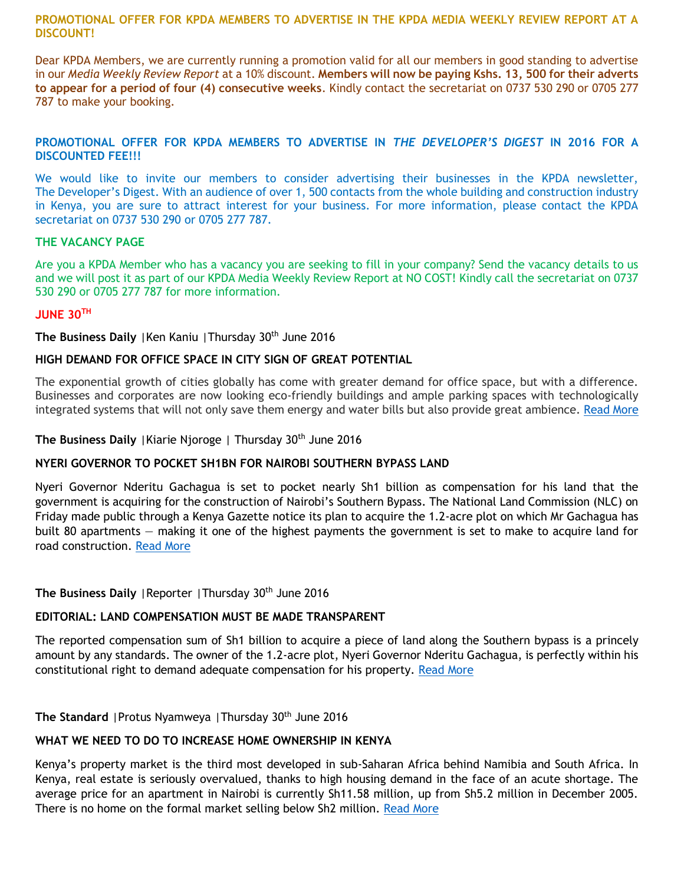**PROMOTIONAL OFFER FOR KPDA MEMBERS TO ADVERTISE IN THE KPDA MEDIA WEEKLY REVIEW REPORT AT A DISCOUNT!**

Dear KPDA Members, we are currently running a promotion valid for all our members in good standing to advertise in our *Media Weekly Review Report* at a 10% discount. **Members will now be paying Kshs. 13, 500 for their adverts to appear for a period of four (4) consecutive weeks**. Kindly contact the secretariat on 0737 530 290 or 0705 277 787 to make your booking.

## **PROMOTIONAL OFFER FOR KPDA MEMBERS TO ADVERTISE IN** *THE DEVELOPER'S DIGEST* **IN 2016 FOR A DISCOUNTED FEE!!!**

We would like to invite our members to consider advertising their businesses in the KPDA newsletter, The Developer's Digest. With an audience of over 1, 500 contacts from the whole building and construction industry in Kenya, you are sure to attract interest for your business. For more information, please contact the KPDA secretariat on 0737 530 290 or 0705 277 787.

#### **THE VACANCY PAGE**

Are you a KPDA Member who has a vacancy you are seeking to fill in your company? Send the vacancy details to us and we will post it as part of our KPDA Media Weekly Review Report at NO COST! Kindly call the secretariat on 0737 530 290 or 0705 277 787 for more information.

#### **JUNE 30TH**

**The Business Daily** |Ken Kaniu |Thursday 30th June 2016

## **HIGH DEMAND FOR OFFICE SPACE IN CITY SIGN OF GREAT POTENTIAL**

The exponential growth of cities globally has come with greater demand for office space, but with a difference. Businesses and corporates are now looking eco-friendly buildings and ample parking spaces with technologically integrated systems that will not only save them energy and water bills but also provide great ambience. [Read More](http://www.businessdailyafrica.com/Opinion-and-Analysis/High-demand-for-office-space-in-city-sign-of-great-potential----/-/539548/3274618/-/b3pks7z/-/index.html)

**The Business Daily** |Kiarie Njoroge | Thursday 30th June 2016

## **NYERI GOVERNOR TO POCKET SH1BN FOR NAIROBI SOUTHERN BYPASS LAND**

Nyeri Governor Nderitu Gachagua is set to pocket nearly Sh1 billion as compensation for his land that the government is acquiring for the construction of Nairobi's Southern Bypass. The National Land Commission (NLC) on Friday made public through a Kenya Gazette notice its plan to acquire the 1.2-acre plot on which Mr Gachagua has built 80 apartments — making it one of the highest payments the government is set to make to acquire land for road construction. [Read More](http://www.businessdailyafrica.com/Nyeri-governor-to-pocket-Sh1bn-for-Nairobi-Southern-bypass/-/539546/3273726/-/ecvgiyz/-/index.html)

## The Business Daily | Reporter | Thursday 30<sup>th</sup> June 2016

## **EDITORIAL: LAND COMPENSATION MUST BE MADE TRANSPARENT**

The reported compensation sum of Sh1 billion to acquire a piece of land along the Southern bypass is a princely amount by any standards. The owner of the 1.2-acre plot, Nyeri Governor Nderitu Gachagua, is perfectly within his constitutional right to demand adequate compensation for his property. [Read More](http://www.businessdailyafrica.com/Opinion-and-Analysis/-/539548/3274600/-/on21joz/-/index.html)

**The Standard** | Protus Nyamweya | Thursday 30<sup>th</sup> June 2016

# **WHAT WE NEED TO DO TO INCREASE HOME OWNERSHIP IN KENYA**

Kenya's property market is the third most developed in sub-Saharan Africa behind Namibia and South Africa. In Kenya, real estate is seriously overvalued, thanks to high housing demand in the face of an acute shortage. The average price for an apartment in Nairobi is currently Sh11.58 million, up from Sh5.2 million in December 2005. There is no home on the formal market selling below Sh2 million. [Read More](file:///C:/Users/KPDA/Desktop/EUNAH/Media%20weekly/Read%20more%20at:%20http:/www.standardmedia.co.ke/lifestyle/article/2000207095/what-we-need-to-do-to-increase-home-ownership-in-kenya)